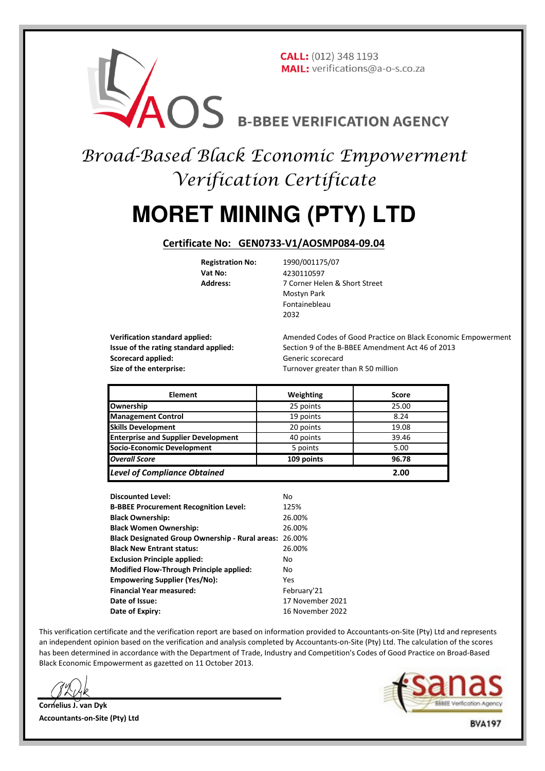## **CALL:** (012) 348 1193 MAIL: verifications@a-o-s.co.za **BROS B-BREE VERIFICATION AGENCY**<br>Broad-Based Black Economic Empowerment

# Verification Certificate

### **MORET MINING (PTY) LTD**

#### **Certificate No: GEN0733-V1/AOSMP084-09.04**

**Vat No:** 4230110597

**Registration No:** 1990/001175/07 **Address:** 7 Corner Helen & Short Street Mostyn Park Fontainebleau 2032

**Scorecard applied:** Generic scorecard **Size of the enterprise: Turnover greater than R 50 million** 

**Verification standard applied:** Amended Codes of Good Practice on Black Economic Empowerment **Issue of the rating standard applied:** Section 9 of the B-BBEE Amendment Act 46 of 2013

| <b>Element</b>                             | Weighting  | Score |
|--------------------------------------------|------------|-------|
| Ownership                                  | 25 points  | 25.00 |
| <b>Management Control</b>                  | 19 points  | 8.24  |
| <b>Skills Development</b>                  | 20 points  | 19.08 |
| <b>Enterprise and Supplier Development</b> | 40 points  | 39.46 |
| Socio-Economic Development                 | 5 points   | 5.00  |
| <b>Overall Score</b>                       | 109 points | 96.78 |
| <b>Level of Compliance Obtained</b>        |            | 2.00  |

| <b>Discounted Level:</b>                               | No               |
|--------------------------------------------------------|------------------|
| <b>B-BBEE Procurement Recognition Level:</b>           | 125%             |
| <b>Black Ownership:</b>                                | 26.00%           |
| <b>Black Women Ownership:</b>                          | 26.00%           |
| Black Designated Group Ownership - Rural areas: 26.00% |                  |
| <b>Black New Entrant status:</b>                       | 26.00%           |
| <b>Exclusion Principle applied:</b>                    | No               |
| <b>Modified Flow-Through Principle applied:</b>        | No               |
| <b>Empowering Supplier (Yes/No):</b>                   | Yes              |
| <b>Financial Year measured:</b>                        | February'21      |
| Date of Issue:                                         | 17 November 2021 |
| Date of Expiry:                                        | 16 November 2022 |

This verification certificate and the verification report are based on information provided to Accountants-on-Site (Pty) Ltd and represents an independent opinion based on the verification and analysis completed by Accountants-on-Site (Pty) Ltd. The calculation of the scores has been determined in accordance with the Department of Trade, Industry and Competition's Codes of Good Practice on Broad-Based Black Economic Empowerment as gazetted on 11 October 2013.

**Cornelius J. van Dyk Accountants-on-Site (Pty) Ltd**

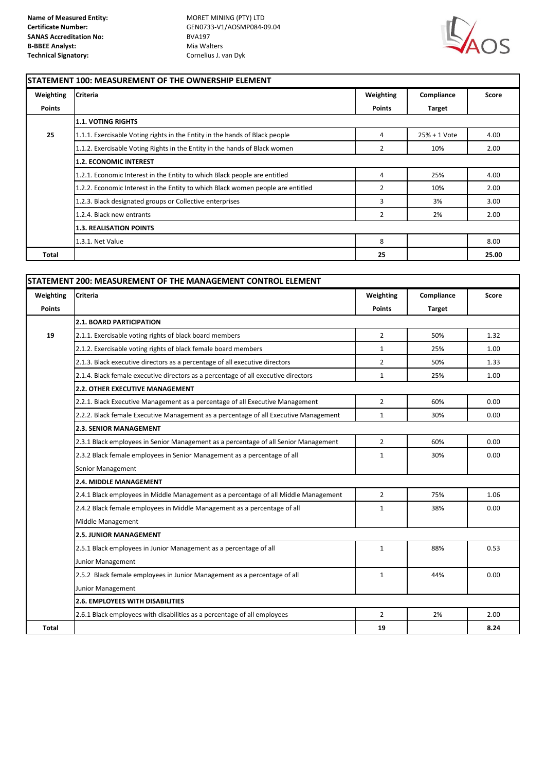**Certificate Number:** GEN0733-V1/AOSMP084-09.04



#### **STATEMENT 100: MEASUREMENT OF THE OWNERSHIP ELEMENT**

| Weighting     | <b>Criteria</b>                                                                 | Weighting     | Compliance    | Score |
|---------------|---------------------------------------------------------------------------------|---------------|---------------|-------|
| <b>Points</b> |                                                                                 | <b>Points</b> | <b>Target</b> |       |
|               | 1.1. VOTING RIGHTS                                                              |               |               |       |
| 25            | 1.1.1. Exercisable Voting rights in the Entity in the hands of Black people     | 4             | 25% + 1 Vote  | 4.00  |
|               | 1.1.2. Exercisable Voting Rights in the Entity in the hands of Black women      | 2             | 10%           | 2.00  |
|               | <b>1.2. ECONOMIC INTEREST</b>                                                   |               |               |       |
|               | 1.2.1. Economic Interest in the Entity to which Black people are entitled       | 4             | 25%           | 4.00  |
|               | 1.2.2. Economic Interest in the Entity to which Black women people are entitled | 2             | 10%           | 2.00  |
|               | 1.2.3. Black designated groups or Collective enterprises                        | 3             | 3%            | 3.00  |
|               | 1.2.4. Black new entrants                                                       | 2             | 2%            | 2.00  |
|               | <b>1.3. REALISATION POINTS</b>                                                  |               |               |       |
|               | 1.3.1. Net Value                                                                | 8             |               | 8.00  |
| <b>Total</b>  |                                                                                 | 25            |               | 25.00 |

| Weighting     | <b>Criteria</b>                                                                      | Weighting      | Compliance    | Score |
|---------------|--------------------------------------------------------------------------------------|----------------|---------------|-------|
| <b>Points</b> |                                                                                      | <b>Points</b>  | <b>Target</b> |       |
|               | <b>2.1. BOARD PARTICIPATION</b>                                                      |                |               |       |
| 19            | 2.1.1. Exercisable voting rights of black board members                              | $\overline{2}$ | 50%           | 1.32  |
|               | 2.1.2. Exercisable voting rights of black female board members                       | $\mathbf{1}$   | 25%           | 1.00  |
|               | 2.1.3. Black executive directors as a percentage of all executive directors          | $\overline{2}$ | 50%           | 1.33  |
|               | 2.1.4. Black female executive directors as a percentage of all executive directors   | $\mathbf{1}$   | 25%           | 1.00  |
|               | 2.2. OTHER EXECUTIVE MANAGEMENT                                                      |                |               |       |
|               | 2.2.1. Black Executive Management as a percentage of all Executive Management        | $\overline{2}$ | 60%           | 0.00  |
|               | 2.2.2. Black female Executive Management as a percentage of all Executive Management | $\mathbf{1}$   | 30%           | 0.00  |
|               | <b>2.3. SENIOR MANAGEMENT</b>                                                        |                |               |       |
|               | 2.3.1 Black employees in Senior Management as a percentage of all Senior Management  | $\overline{2}$ | 60%           | 0.00  |
|               | 2.3.2 Black female employees in Senior Management as a percentage of all             | $\mathbf{1}$   | 30%           | 0.00  |
|               | Senior Management                                                                    |                |               |       |
|               | <b>2.4. MIDDLE MANAGEMENT</b>                                                        |                |               |       |
|               | 2.4.1 Black employees in Middle Management as a percentage of all Middle Management  | $\overline{2}$ | 75%           | 1.06  |
|               | 2.4.2 Black female employees in Middle Management as a percentage of all             | $\mathbf{1}$   | 38%           | 0.00  |
|               | Middle Management                                                                    |                |               |       |
|               | <b>2.5. JUNIOR MANAGEMENT</b>                                                        |                |               |       |
|               | 2.5.1 Black employees in Junior Management as a percentage of all                    | $\mathbf{1}$   | 88%           | 0.53  |
|               | Junior Management                                                                    |                |               |       |
|               | 2.5.2 Black female employees in Junior Management as a percentage of all             | $\mathbf{1}$   | 44%           | 0.00  |
|               | Junior Management                                                                    |                |               |       |
|               | 2.6. EMPLOYEES WITH DISABILITIES                                                     |                |               |       |
|               | 2.6.1 Black employees with disabilities as a percentage of all employees             | $\overline{2}$ | 2%            | 2.00  |
| <b>Total</b>  |                                                                                      | 19             |               | 8.24  |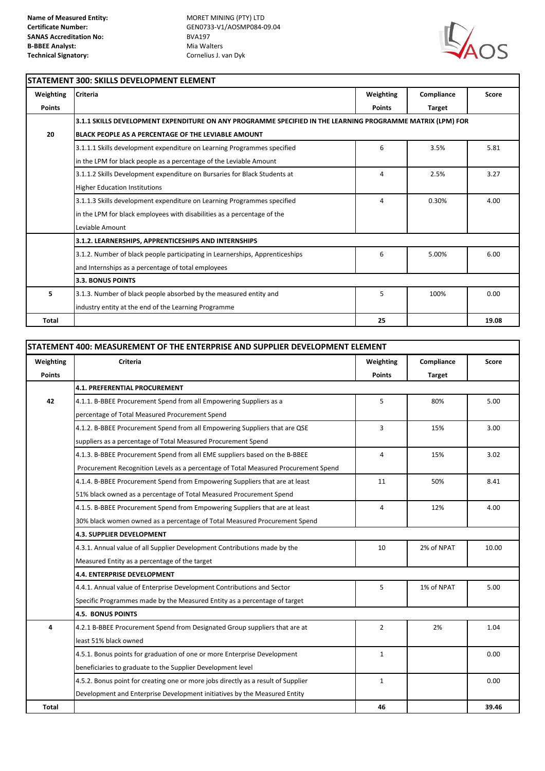**Certificate Number:** GEN0733-V1/AOSMP084-09.04



#### **STATEMENT 300: SKILLS DEVELOPMENT ELEMENT Weighting Criteria Weighting Compliance Score Points Points Target 3.1.1 SKILLS DEVELOPMENT EXPENDITURE ON ANY PROGRAMME SPECIFIED IN THE LEARNING PROGRAMME MATRIX (LPM) FOR 20 BLACK PEOPLE AS A PERCENTAGE OF THE LEVIABLE AMOUNT** 3.1.1.1 Skills development expenditure on Learning Programmes specified 6 5.81 6 3.5% 5.81 in the LPM for black people as a percentage of the Leviable Amount 3.1.1.2 Skills Development expenditure on Bursaries for Black Students at 4 2.5% 3.27 Higher Education Institutions 3.1.1.3 Skills development expenditure on Learning Programmes specified 4 0.30% 4.00 in the LPM for black employees with disabilities as a percentage of the Leviable Amount 3.1.2. Number of black people participating in Learnerships, Apprenticeships **6** 6 5.00% 6.00 and Internships as a percentage of total employees **5** 3.1.3. Number of black people absorbed by the measured entity and 5 100% 0.00 industry entity at the end of the Learning Programme **Total 25 19.08 3.3. BONUS POINTS 3.1.2. LEARNERSHIPS, APPRENTICESHIPS AND INTERNSHIPS**

| STATEMENT 400: MEASUREMENT OF THE ENTERPRISE AND SUPPLIER DEVELOPMENT ELEMENT |                                                                                    |                |               |              |
|-------------------------------------------------------------------------------|------------------------------------------------------------------------------------|----------------|---------------|--------------|
| Weighting                                                                     | <b>Criteria</b>                                                                    | Weighting      | Compliance    | <b>Score</b> |
| <b>Points</b>                                                                 |                                                                                    | <b>Points</b>  | <b>Target</b> |              |
|                                                                               | <b>4.1. PREFERENTIAL PROCUREMENT</b>                                               |                |               |              |
| 42                                                                            | 4.1.1. B-BBEE Procurement Spend from all Empowering Suppliers as a                 | 5              | 80%           | 5.00         |
|                                                                               | percentage of Total Measured Procurement Spend                                     |                |               |              |
|                                                                               | 4.1.2. B-BBEE Procurement Spend from all Empowering Suppliers that are QSE         | 3              | 15%           | 3.00         |
|                                                                               | suppliers as a percentage of Total Measured Procurement Spend                      |                |               |              |
|                                                                               | 4.1.3. B-BBEE Procurement Spend from all EME suppliers based on the B-BBEE         | $\overline{4}$ | 15%           | 3.02         |
|                                                                               | Procurement Recognition Levels as a percentage of Total Measured Procurement Spend |                |               |              |
|                                                                               | 4.1.4. B-BBEE Procurement Spend from Empowering Suppliers that are at least        | 11             | 50%           | 8.41         |
|                                                                               | 51% black owned as a percentage of Total Measured Procurement Spend                |                |               |              |
|                                                                               | 4.1.5. B-BBEE Procurement Spend from Empowering Suppliers that are at least        | 4              | 12%           | 4.00         |
|                                                                               | 30% black women owned as a percentage of Total Measured Procurement Spend          |                |               |              |
|                                                                               | 4.3. SUPPLIER DEVELOPMENT                                                          |                |               |              |
|                                                                               | 4.3.1. Annual value of all Supplier Development Contributions made by the          | 10             | 2% of NPAT    | 10.00        |
|                                                                               | Measured Entity as a percentage of the target                                      |                |               |              |
|                                                                               | 4.4. ENTERPRISE DEVELOPMENT                                                        |                |               |              |
|                                                                               | 4.4.1. Annual value of Enterprise Development Contributions and Sector             | 5              | 1% of NPAT    | 5.00         |
|                                                                               | Specific Programmes made by the Measured Entity as a percentage of target          |                |               |              |
|                                                                               | <b>4.5. BONUS POINTS</b>                                                           |                |               |              |
| 4                                                                             | 4.2.1 B-BBEE Procurement Spend from Designated Group suppliers that are at         | $\overline{2}$ | 2%            | 1.04         |
|                                                                               | least 51% black owned                                                              |                |               |              |
|                                                                               | 4.5.1. Bonus points for graduation of one or more Enterprise Development           | $\mathbf{1}$   |               | 0.00         |
|                                                                               | beneficiaries to graduate to the Supplier Development level                        |                |               |              |
|                                                                               | 4.5.2. Bonus point for creating one or more jobs directly as a result of Supplier  | $\mathbf{1}$   |               | 0.00         |
|                                                                               | Development and Enterprise Development initiatives by the Measured Entity          |                |               |              |
| <b>Total</b>                                                                  |                                                                                    | 46             |               | 39.46        |